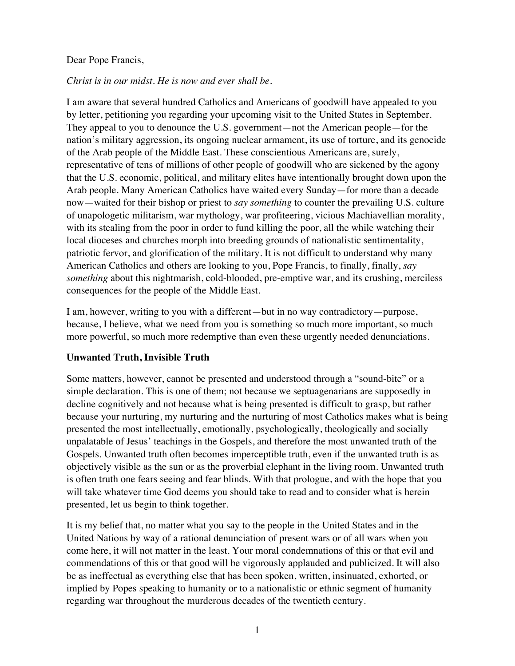#### Dear Pope Francis,

### *Christ is in our midst. He is now and ever shall be.*

I am aware that several hundred Catholics and Americans of goodwill have appealed to you by letter, petitioning you regarding your upcoming visit to the United States in September. They appeal to you to denounce the U.S. government—not the American people—for the nation's military aggression, its ongoing nuclear armament, its use of torture, and its genocide of the Arab people of the Middle East. These conscientious Americans are, surely, representative of tens of millions of other people of goodwill who are sickened by the agony that the U.S. economic, political, and military elites have intentionally brought down upon the Arab people. Many American Catholics have waited every Sunday—for more than a decade now—waited for their bishop or priest to *say something* to counter the prevailing U.S. culture of unapologetic militarism, war mythology, war profiteering, vicious Machiavellian morality, with its stealing from the poor in order to fund killing the poor, all the while watching their local dioceses and churches morph into breeding grounds of nationalistic sentimentality, patriotic fervor, and glorification of the military. It is not difficult to understand why many American Catholics and others are looking to you, Pope Francis, to finally, finally, *say something* about this nightmarish, cold-blooded, pre-emptive war, and its crushing, merciless consequences for the people of the Middle East.

I am, however, writing to you with a different—but in no way contradictory—purpose, because, I believe, what we need from you is something so much more important, so much more powerful, so much more redemptive than even these urgently needed denunciations.

#### **Unwanted Truth, Invisible Truth**

Some matters, however, cannot be presented and understood through a "sound-bite" or a simple declaration. This is one of them; not because we septuagenarians are supposedly in decline cognitively and not because what is being presented is difficult to grasp, but rather because your nurturing, my nurturing and the nurturing of most Catholics makes what is being presented the most intellectually, emotionally, psychologically, theologically and socially unpalatable of Jesus' teachings in the Gospels, and therefore the most unwanted truth of the Gospels. Unwanted truth often becomes imperceptible truth, even if the unwanted truth is as objectively visible as the sun or as the proverbial elephant in the living room. Unwanted truth is often truth one fears seeing and fear blinds. With that prologue, and with the hope that you will take whatever time God deems you should take to read and to consider what is herein presented, let us begin to think together.

It is my belief that, no matter what you say to the people in the United States and in the United Nations by way of a rational denunciation of present wars or of all wars when you come here, it will not matter in the least. Your moral condemnations of this or that evil and commendations of this or that good will be vigorously applauded and publicized. It will also be as ineffectual as everything else that has been spoken, written, insinuated, exhorted, or implied by Popes speaking to humanity or to a nationalistic or ethnic segment of humanity regarding war throughout the murderous decades of the twentieth century.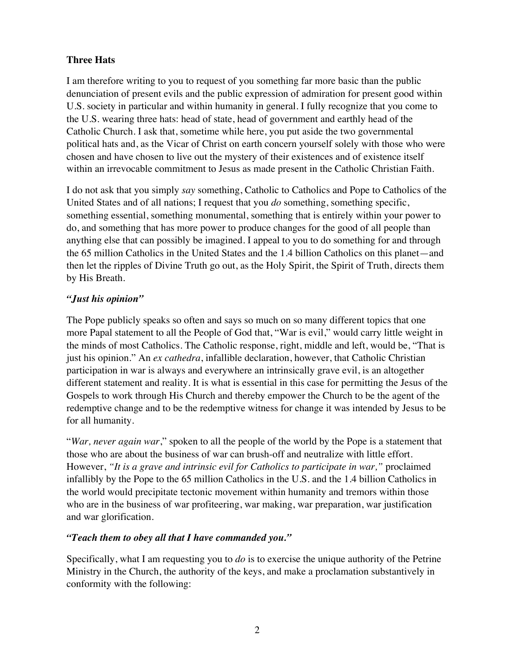# **Three Hats**

I am therefore writing to you to request of you something far more basic than the public denunciation of present evils and the public expression of admiration for present good within U.S. society in particular and within humanity in general. I fully recognize that you come to the U.S. wearing three hats: head of state, head of government and earthly head of the Catholic Church. I ask that, sometime while here, you put aside the two governmental political hats and, as the Vicar of Christ on earth concern yourself solely with those who were chosen and have chosen to live out the mystery of their existences and of existence itself within an irrevocable commitment to Jesus as made present in the Catholic Christian Faith.

I do not ask that you simply *say* something, Catholic to Catholics and Pope to Catholics of the United States and of all nations; I request that you *do* something, something specific, something essential, something monumental, something that is entirely within your power to do, and something that has more power to produce changes for the good of all people than anything else that can possibly be imagined. I appeal to you to do something for and through the 65 million Catholics in the United States and the 1.4 billion Catholics on this planet—and then let the ripples of Divine Truth go out, as the Holy Spirit, the Spirit of Truth, directs them by His Breath.

# *"Just his opinion"*

The Pope publicly speaks so often and says so much on so many different topics that one more Papal statement to all the People of God that, "War is evil," would carry little weight in the minds of most Catholics. The Catholic response, right, middle and left, would be, "That is just his opinion." An *ex cathedra*, infallible declaration, however, that Catholic Christian participation in war is always and everywhere an intrinsically grave evil, is an altogether different statement and reality. It is what is essential in this case for permitting the Jesus of the Gospels to work through His Church and thereby empower the Church to be the agent of the redemptive change and to be the redemptive witness for change it was intended by Jesus to be for all humanity.

"*War, never again war*," spoken to all the people of the world by the Pope is a statement that those who are about the business of war can brush-off and neutralize with little effort. However, *"It is a grave and intrinsic evil for Catholics to participate in war,"* proclaimed infallibly by the Pope to the 65 million Catholics in the U.S. and the 1.4 billion Catholics in the world would precipitate tectonic movement within humanity and tremors within those who are in the business of war profiteering, war making, war preparation, war justification and war glorification.

# *"Teach them to obey all that I have commanded you."*

Specifically, what I am requesting you to *do* is to exercise the unique authority of the Petrine Ministry in the Church, the authority of the keys, and make a proclamation substantively in conformity with the following: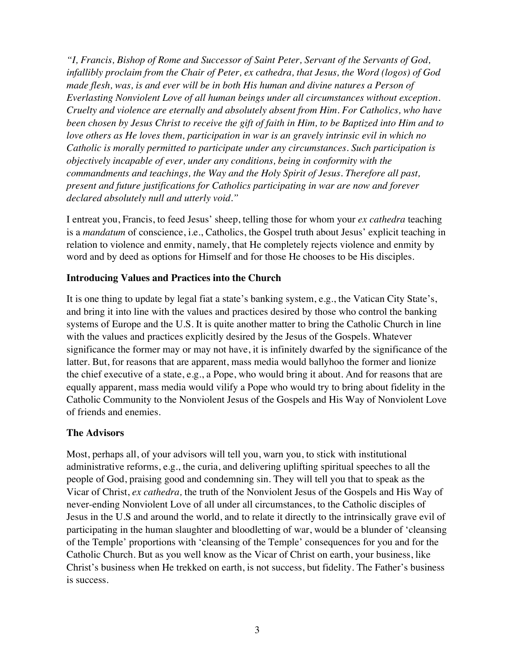*"I, Francis, Bishop of Rome and Successor of Saint Peter, Servant of the Servants of God, infallibly proclaim from the Chair of Peter, ex cathedra, that Jesus, the Word (logos) of God made flesh, was, is and ever will be in both His human and divine natures a Person of Everlasting Nonviolent Love of all human beings under all circumstances without exception. Cruelty and violence are eternally and absolutely absent from Him. For Catholics, who have been chosen by Jesus Christ to receive the gift of faith in Him, to be Baptized into Him and to love others as He loves them, participation in war is an gravely intrinsic evil in which no Catholic is morally permitted to participate under any circumstances. Such participation is objectively incapable of ever, under any conditions, being in conformity with the commandments and teachings, the Way and the Holy Spirit of Jesus. Therefore all past, present and future justifications for Catholics participating in war are now and forever declared absolutely null and utterly void."*

I entreat you, Francis, to feed Jesus' sheep, telling those for whom your *ex cathedra* teaching is a *mandatum* of conscience, i.e., Catholics, the Gospel truth about Jesus' explicit teaching in relation to violence and enmity, namely, that He completely rejects violence and enmity by word and by deed as options for Himself and for those He chooses to be His disciples.

### **Introducing Values and Practices into the Church**

It is one thing to update by legal fiat a state's banking system, e.g., the Vatican City State's, and bring it into line with the values and practices desired by those who control the banking systems of Europe and the U.S. It is quite another matter to bring the Catholic Church in line with the values and practices explicitly desired by the Jesus of the Gospels. Whatever significance the former may or may not have, it is infinitely dwarfed by the significance of the latter. But, for reasons that are apparent, mass media would ballyhoo the former and lionize the chief executive of a state, e.g., a Pope, who would bring it about. And for reasons that are equally apparent, mass media would vilify a Pope who would try to bring about fidelity in the Catholic Community to the Nonviolent Jesus of the Gospels and His Way of Nonviolent Love of friends and enemies.

#### **The Advisors**

Most, perhaps all, of your advisors will tell you, warn you, to stick with institutional administrative reforms, e.g., the curia, and delivering uplifting spiritual speeches to all the people of God, praising good and condemning sin. They will tell you that to speak as the Vicar of Christ, *ex cathedra,* the truth of the Nonviolent Jesus of the Gospels and His Way of never-ending Nonviolent Love of all under all circumstances, to the Catholic disciples of Jesus in the U.S and around the world, and to relate it directly to the intrinsically grave evil of participating in the human slaughter and bloodletting of war, would be a blunder of 'cleansing of the Temple' proportions with 'cleansing of the Temple' consequences for you and for the Catholic Church. But as you well know as the Vicar of Christ on earth, your business, like Christ's business when He trekked on earth, is not success, but fidelity. The Father's business is success.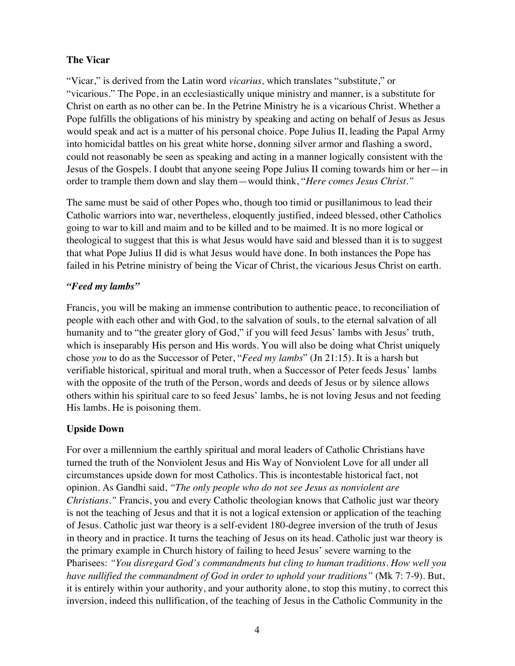# **The Vicar**

"Vicar," is derived from the Latin word *vicarius,* which translates "substitute," or "vicarious." The Pope, in an ecclesiastically unique ministry and manner, is a substitute for Christ on earth as no other can be. In the Petrine Ministry he is a vicarious Christ. Whether a Pope fulfills the obligations of his ministry by speaking and acting on behalf of Jesus as Jesus would speak and act is a matter of his personal choice. Pope Julius II, leading the Papal Army into homicidal battles on his great white horse, donning silver armor and flashing a sword, could not reasonably be seen as speaking and acting in a manner logically consistent with the Jesus of the Gospels. I doubt that anyone seeing Pope Julius II coming towards him or her—in order to trample them down and slay them—would think, "*Here comes Jesus Christ."*

The same must be said of other Popes who, though too timid or pusillanimous to lead their Catholic warriors into war, nevertheless, eloquently justified, indeed blessed, other Catholics going to war to kill and maim and to be killed and to be maimed. It is no more logical or theological to suggest that this is what Jesus would have said and blessed than it is to suggest that what Pope Julius II did is what Jesus would have done. In both instances the Pope has failed in his Petrine ministry of being the Vicar of Christ, the vicarious Jesus Christ on earth.

# *"Feed my lambs"*

Francis, you will be making an immense contribution to authentic peace, to reconciliation of people with each other and with God, to the salvation of souls, to the eternal salvation of all humanity and to "the greater glory of God," if you will feed Jesus' lambs with Jesus' truth, which is inseparably His person and His words. You will also be doing what Christ uniquely chose *you* to do as the Successor of Peter, "*Feed my lambs*" (Jn 21:15). It is a harsh but verifiable historical, spiritual and moral truth, when a Successor of Peter feeds Jesus' lambs with the opposite of the truth of the Person, words and deeds of Jesus or by silence allows others within his spiritual care to so feed Jesus' lambs, he is not loving Jesus and not feeding His lambs. He is poisoning them.

# **Upside Down**

For over a millennium the earthly spiritual and moral leaders of Catholic Christians have turned the truth of the Nonviolent Jesus and His Way of Nonviolent Love for all under all circumstances upside down for most Catholics. This is incontestable historical fact, not opinion. As Gandhi said, *"The only people who do not see Jesus as nonviolent are Christians."* Francis, you and every Catholic theologian knows that Catholic just war theory is not the teaching of Jesus and that it is not a logical extension or application of the teaching of Jesus. Catholic just war theory is a self-evident 180-degree inversion of the truth of Jesus in theory and in practice. It turns the teaching of Jesus on its head. Catholic just war theory is the primary example in Church history of failing to heed Jesus' severe warning to the Pharisees: *"You disregard God's commandments but cling to human traditions. How well you have nullified the commandment of God in order to uphold your traditions"* (Mk 7: 7-9). But, it is entirely within your authority, and your authority alone, to stop this mutiny, to correct this inversion, indeed this nullification, of the teaching of Jesus in the Catholic Community in the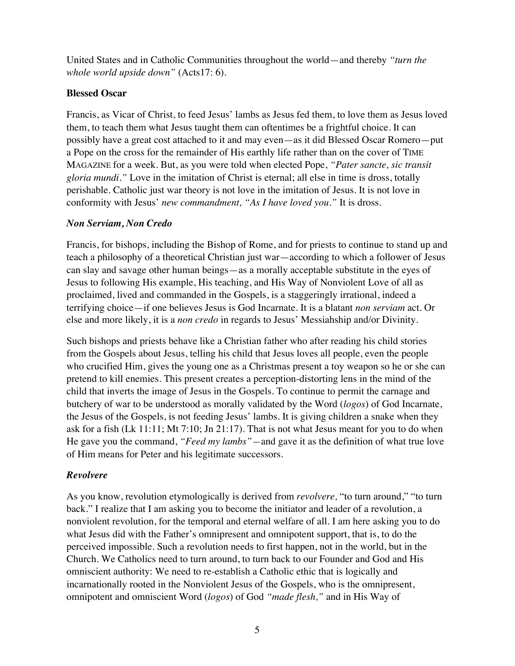United States and in Catholic Communities throughout the world—and thereby *"turn the whole world upside down"* (Acts17: 6).

### **Blessed Oscar**

Francis, as Vicar of Christ, to feed Jesus' lambs as Jesus fed them, to love them as Jesus loved them, to teach them what Jesus taught them can oftentimes be a frightful choice. It can possibly have a great cost attached to it and may even—as it did Blessed Oscar Romero—put a Pope on the cross for the remainder of His earthly life rather than on the cover of TIME MAGAZINE for a week. But, as you were told when elected Pope, *"Pater sancte, sic transit gloria mundi."* Love in the imitation of Christ is eternal; all else in time is dross, totally perishable. Catholic just war theory is not love in the imitation of Jesus. It is not love in conformity with Jesus' *new commandment, "As I have loved you."* It is dross.

### *Non Serviam, Non Credo*

Francis, for bishops, including the Bishop of Rome, and for priests to continue to stand up and teach a philosophy of a theoretical Christian just war—according to which a follower of Jesus can slay and savage other human beings—as a morally acceptable substitute in the eyes of Jesus to following His example, His teaching, and His Way of Nonviolent Love of all as proclaimed, lived and commanded in the Gospels, is a staggeringly irrational, indeed a terrifying choice—if one believes Jesus is God Incarnate. It is a blatant *non serviam* act. Or else and more likely, it is a *non credo* in regards to Jesus' Messiahship and/or Divinity.

Such bishops and priests behave like a Christian father who after reading his child stories from the Gospels about Jesus, telling his child that Jesus loves all people, even the people who crucified Him, gives the young one as a Christmas present a toy weapon so he or she can pretend to kill enemies. This present creates a perception-distorting lens in the mind of the child that inverts the image of Jesus in the Gospels. To continue to permit the carnage and butchery of war to be understood as morally validated by the Word (*logos*) of God Incarnate, the Jesus of the Gospels, is not feeding Jesus' lambs. It is giving children a snake when they ask for a fish  $(Lk 11:11; Mt 7:10; In 21:17)$ . That is not what Jesus meant for you to do when He gave you the command, *"Feed my lambs"—*and gave it as the definition of what true love of Him means for Peter and his legitimate successors.

# *Revolvere*

As you know, revolution etymologically is derived from *revolvere,* "to turn around," "to turn back." I realize that I am asking you to become the initiator and leader of a revolution, a nonviolent revolution, for the temporal and eternal welfare of all. I am here asking you to do what Jesus did with the Father's omnipresent and omnipotent support, that is, to do the perceived impossible. Such a revolution needs to first happen, not in the world, but in the Church. We Catholics need to turn around, to turn back to our Founder and God and His omniscient authority: We need to re-establish a Catholic ethic that is logically and incarnationally rooted in the Nonviolent Jesus of the Gospels, who is the omnipresent, omnipotent and omniscient Word (*logos*) of God *"made flesh,"* and in His Way of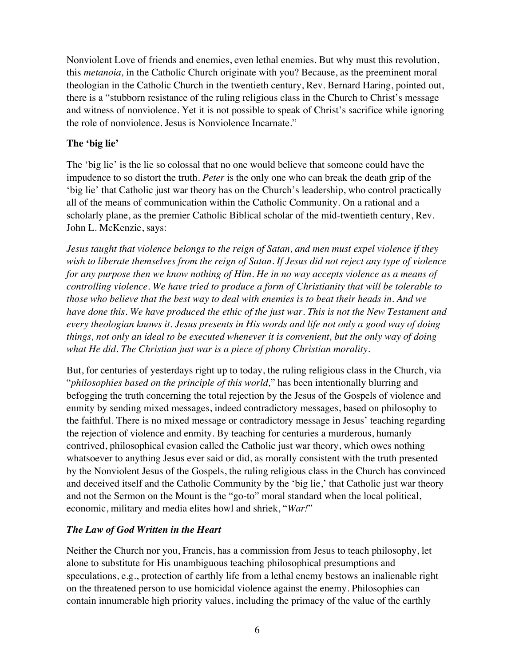Nonviolent Love of friends and enemies, even lethal enemies. But why must this revolution, this *metanoia,* in the Catholic Church originate with you? Because, as the preeminent moral theologian in the Catholic Church in the twentieth century, Rev. Bernard Haring, pointed out, there is a "stubborn resistance of the ruling religious class in the Church to Christ's message and witness of nonviolence. Yet it is not possible to speak of Christ's sacrifice while ignoring the role of nonviolence. Jesus is Nonviolence Incarnate."

# **The 'big lie'**

The 'big lie' is the lie so colossal that no one would believe that someone could have the impudence to so distort the truth. *Peter* is the only one who can break the death grip of the 'big lie' that Catholic just war theory has on the Church's leadership, who control practically all of the means of communication within the Catholic Community. On a rational and a scholarly plane, as the premier Catholic Biblical scholar of the mid-twentieth century, Rev. John L. McKenzie, says:

*Jesus taught that violence belongs to the reign of Satan, and men must expel violence if they wish to liberate themselves from the reign of Satan. If Jesus did not reject any type of violence for any purpose then we know nothing of Him. He in no way accepts violence as a means of controlling violence. We have tried to produce a form of Christianity that will be tolerable to those who believe that the best way to deal with enemies is to beat their heads in. And we have done this. We have produced the ethic of the just war. This is not the New Testament and every theologian knows it. Jesus presents in His words and life not only a good way of doing things, not only an ideal to be executed whenever it is convenient, but the only way of doing what He did. The Christian just war is a piece of phony Christian morality.*

But, for centuries of yesterdays right up to today, the ruling religious class in the Church, via "*philosophies based on the principle of this world,*" has been intentionally blurring and befogging the truth concerning the total rejection by the Jesus of the Gospels of violence and enmity by sending mixed messages, indeed contradictory messages, based on philosophy to the faithful. There is no mixed message or contradictory message in Jesus' teaching regarding the rejection of violence and enmity. By teaching for centuries a murderous, humanly contrived, philosophical evasion called the Catholic just war theory, which owes nothing whatsoever to anything Jesus ever said or did, as morally consistent with the truth presented by the Nonviolent Jesus of the Gospels, the ruling religious class in the Church has convinced and deceived itself and the Catholic Community by the 'big lie,' that Catholic just war theory and not the Sermon on the Mount is the "go-to" moral standard when the local political, economic, military and media elites howl and shriek, "*War!*"

# *The Law of God Written in the Heart*

Neither the Church nor you, Francis, has a commission from Jesus to teach philosophy, let alone to substitute for His unambiguous teaching philosophical presumptions and speculations, e.g., protection of earthly life from a lethal enemy bestows an inalienable right on the threatened person to use homicidal violence against the enemy. Philosophies can contain innumerable high priority values, including the primacy of the value of the earthly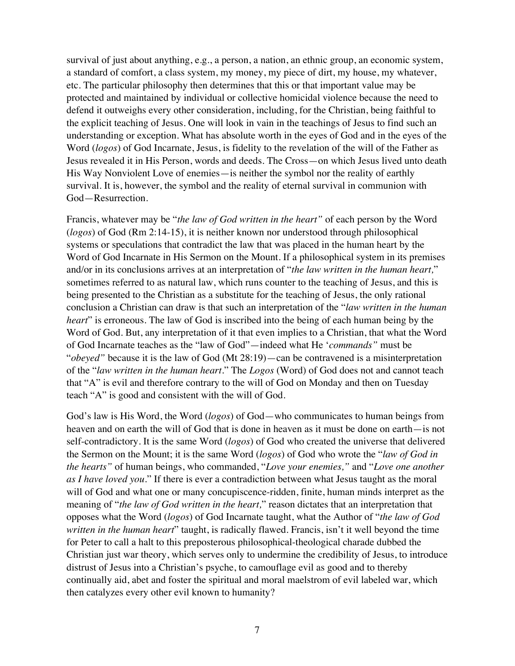survival of just about anything, e.g., a person, a nation, an ethnic group, an economic system, a standard of comfort, a class system, my money, my piece of dirt, my house, my whatever, etc. The particular philosophy then determines that this or that important value may be protected and maintained by individual or collective homicidal violence because the need to defend it outweighs every other consideration, including, for the Christian, being faithful to the explicit teaching of Jesus. One will look in vain in the teachings of Jesus to find such an understanding or exception. What has absolute worth in the eyes of God and in the eyes of the Word (*logos*) of God Incarnate, Jesus, is fidelity to the revelation of the will of the Father as Jesus revealed it in His Person, words and deeds. The Cross—on which Jesus lived unto death His Way Nonviolent Love of enemies—is neither the symbol nor the reality of earthly survival. It is, however, the symbol and the reality of eternal survival in communion with God—Resurrection.

Francis, whatever may be "*the law of God written in the heart"* of each person by the Word (*logos*) of God (Rm 2:14-15), it is neither known nor understood through philosophical systems or speculations that contradict the law that was placed in the human heart by the Word of God Incarnate in His Sermon on the Mount. If a philosophical system in its premises and/or in its conclusions arrives at an interpretation of "*the law written in the human heart,*" sometimes referred to as natural law, which runs counter to the teaching of Jesus, and this is being presented to the Christian as a substitute for the teaching of Jesus, the only rational conclusion a Christian can draw is that such an interpretation of the "*law written in the human heart*" is erroneous. The law of God is inscribed into the being of each human being by the Word of God. But, any interpretation of it that even implies to a Christian, that what the Word of God Incarnate teaches as the "law of God"—indeed what He '*commands"* must be "*obeyed"* because it is the law of God (Mt 28:19)—can be contravened is a misinterpretation of the "*law written in the human heart.*" The *Logos* (Word) of God does not and cannot teach that "A" is evil and therefore contrary to the will of God on Monday and then on Tuesday teach "A" is good and consistent with the will of God.

God's law is His Word, the Word (*logos*) of God—who communicates to human beings from heaven and on earth the will of God that is done in heaven as it must be done on earth—is not self-contradictory. It is the same Word (*logos*) of God who created the universe that delivered the Sermon on the Mount; it is the same Word (*logos*) of God who wrote the "*law of God in the hearts"* of human beings, who commanded, "*Love your enemies,"* and "*Love one another as I have loved you*." If there is ever a contradiction between what Jesus taught as the moral will of God and what one or many concupiscence-ridden, finite, human minds interpret as the meaning of "*the law of God written in the heart,*" reason dictates that an interpretation that opposes what the Word (*logos*) of God Incarnate taught, what the Author of "*the law of God written in the human heart*" taught, is radically flawed. Francis, isn't it well beyond the time for Peter to call a halt to this preposterous philosophical-theological charade dubbed the Christian just war theory, which serves only to undermine the credibility of Jesus, to introduce distrust of Jesus into a Christian's psyche, to camouflage evil as good and to thereby continually aid, abet and foster the spiritual and moral maelstrom of evil labeled war, which then catalyzes every other evil known to humanity?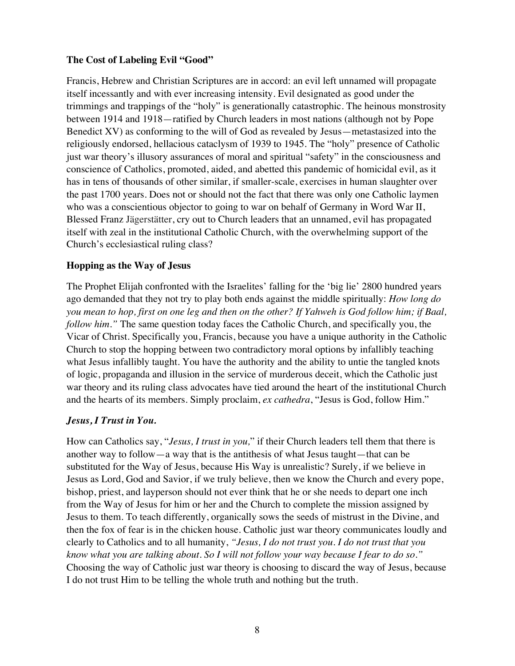### **The Cost of Labeling Evil "Good"**

Francis, Hebrew and Christian Scriptures are in accord: an evil left unnamed will propagate itself incessantly and with ever increasing intensity. Evil designated as good under the trimmings and trappings of the "holy" is generationally catastrophic. The heinous monstrosity between 1914 and 1918—ratified by Church leaders in most nations (although not by Pope Benedict XV) as conforming to the will of God as revealed by Jesus—metastasized into the religiously endorsed, hellacious cataclysm of 1939 to 1945. The "holy" presence of Catholic just war theory's illusory assurances of moral and spiritual "safety" in the consciousness and conscience of Catholics, promoted, aided, and abetted this pandemic of homicidal evil, as it has in tens of thousands of other similar, if smaller-scale, exercises in human slaughter over the past 1700 years. Does not or should not the fact that there was only one Catholic laymen who was a conscientious objector to going to war on behalf of Germany in Word War II, Blessed Franz Jägerstätter, cry out to Church leaders that an unnamed, evil has propagated itself with zeal in the institutional Catholic Church, with the overwhelming support of the Church's ecclesiastical ruling class?

# **Hopping as the Way of Jesus**

The Prophet Elijah confronted with the Israelites' falling for the 'big lie' 2800 hundred years ago demanded that they not try to play both ends against the middle spiritually: *How long do you mean to hop, first on one leg and then on the other? If Yahweh is God follow him; if Baal, follow him.*" The same question today faces the Catholic Church, and specifically you, the Vicar of Christ. Specifically you, Francis, because you have a unique authority in the Catholic Church to stop the hopping between two contradictory moral options by infallibly teaching what Jesus infallibly taught. You have the authority and the ability to untie the tangled knots of logic, propaganda and illusion in the service of murderous deceit, which the Catholic just war theory and its ruling class advocates have tied around the heart of the institutional Church and the hearts of its members. Simply proclaim, *ex cathedra*, "Jesus is God, follow Him."

# *Jesus, I Trust in You.*

How can Catholics say, "*Jesus, I trust in you,*" if their Church leaders tell them that there is another way to follow—a way that is the antithesis of what Jesus taught—that can be substituted for the Way of Jesus, because His Way is unrealistic? Surely, if we believe in Jesus as Lord, God and Savior, if we truly believe, then we know the Church and every pope, bishop, priest, and layperson should not ever think that he or she needs to depart one inch from the Way of Jesus for him or her and the Church to complete the mission assigned by Jesus to them. To teach differently, organically sows the seeds of mistrust in the Divine, and then the fox of fear is in the chicken house. Catholic just war theory communicates loudly and clearly to Catholics and to all humanity, *"Jesus, I do not trust you. I do not trust that you know what you are talking about. So I will not follow your way because I fear to do so."* Choosing the way of Catholic just war theory is choosing to discard the way of Jesus, because I do not trust Him to be telling the whole truth and nothing but the truth.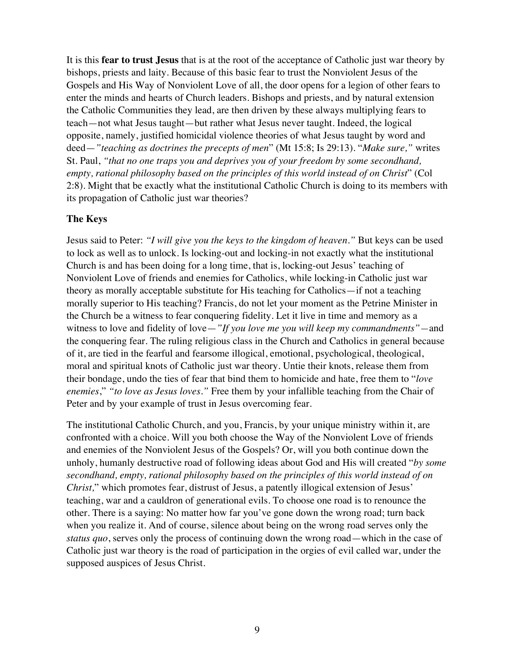It is this **fear to trust Jesus** that is at the root of the acceptance of Catholic just war theory by bishops, priests and laity. Because of this basic fear to trust the Nonviolent Jesus of the Gospels and His Way of Nonviolent Love of all, the door opens for a legion of other fears to enter the minds and hearts of Church leaders. Bishops and priests, and by natural extension the Catholic Communities they lead, are then driven by these always multiplying fears to teach—not what Jesus taught—but rather what Jesus never taught. Indeed, the logical opposite, namely, justified homicidal violence theories of what Jesus taught by word and deed—*"teaching as doctrines the precepts of men*" (Mt 15:8; Is 29:13). "*Make sure,"* writes St. Paul, *"that no one traps you and deprives you of your freedom by some secondhand, empty, rational philosophy based on the principles of this world instead of on Christ*" (Col 2:8). Might that be exactly what the institutional Catholic Church is doing to its members with its propagation of Catholic just war theories?

#### **The Keys**

Jesus said to Peter: *"I will give you the keys to the kingdom of heaven."* But keys can be used to lock as well as to unlock. Is locking-out and locking-in not exactly what the institutional Church is and has been doing for a long time, that is, locking-out Jesus' teaching of Nonviolent Love of friends and enemies for Catholics, while locking-in Catholic just war theory as morally acceptable substitute for His teaching for Catholics—if not a teaching morally superior to His teaching? Francis, do not let your moment as the Petrine Minister in the Church be a witness to fear conquering fidelity. Let it live in time and memory as a witness to love and fidelity of love—*"If you love me you will keep my commandments"—*and the conquering fear. The ruling religious class in the Church and Catholics in general because of it, are tied in the fearful and fearsome illogical, emotional, psychological, theological, moral and spiritual knots of Catholic just war theory. Untie their knots, release them from their bondage, undo the ties of fear that bind them to homicide and hate, free them to "*love enemies*," *"to love as Jesus loves."* Free them by your infallible teaching from the Chair of Peter and by your example of trust in Jesus overcoming fear.

The institutional Catholic Church, and you, Francis, by your unique ministry within it, are confronted with a choice. Will you both choose the Way of the Nonviolent Love of friends and enemies of the Nonviolent Jesus of the Gospels? Or, will you both continue down the unholy, humanly destructive road of following ideas about God and His will created "*by some secondhand, empty, rational philosophy based on the principles of this world instead of on Christ,*" which promotes fear, distrust of Jesus, a patently illogical extension of Jesus' teaching, war and a cauldron of generational evils. To choose one road is to renounce the other. There is a saying: No matter how far you've gone down the wrong road; turn back when you realize it. And of course, silence about being on the wrong road serves only the *status quo*, serves only the process of continuing down the wrong road—which in the case of Catholic just war theory is the road of participation in the orgies of evil called war, under the supposed auspices of Jesus Christ.